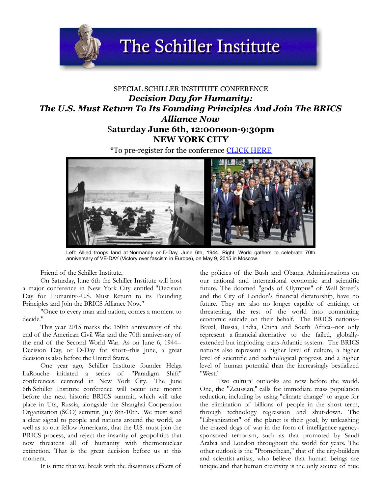**The Schiller Institute** 

## SPECIAL SCHILLER INSTITUTE CONFERENCE *Decision Day for Humanity: The U.S. Must Return To Its Founding Principles And Join The BRICS Alliance Now* S**aturday June 6th, 12:00noon-9:30pm NEW YORK CITY**

*\**To pre-register for the conference **[CLICK HERE](https://docs.google.com/forms/d/1ZsBii9eIB9hisHDD9fFyABikLHtaSNcWhGFN6SfFo_Q/viewform)** 



Left: Allied troops land at Normandy on D-Day, June 6th, 1944. Right: World gathers to celebrate 70th anniversary of VE-DAY (Victory over fascism in Europe), on May 9, 2015 in Moscow.

Friend of the Schiller Institute,

On Saturday, June 6th the Schiller Institute will host a major conference in New York City entitled "Decision Day for Humanity--U.S. Must Return to its Founding Principles and Join the BRICS Alliance Now."

"Once to every man and nation, comes a moment to decide."

This year 2015 marks the 150th anniversary of the end of the American Civil War and the 70th anniversary of the end of the Second World War. As on June 6, 1944-- Decision Day, or D-Day for short--this June, a great decision is also before the United States.

One year ago, Schiller Institute founder Helga LaRouche initiated a series of "Paradigm Shift" conferences, centered in New York City. The June 6th Schiller Institute conference will occur one month before the next historic BRICS summit, which will take place in Ufa, Russia, alongside the Shanghai Cooperation Organization (SCO) summit, July 8th-10th. We must send a clear signal to people and nations around the world, as well as to our fellow Americans, that the U.S. must join the BRICS process, and reject the insanity of geopolitics that now threatens all of humanity with thermonuclear extinction. That is the great decision before us at this moment.

It is time that we break with the disastrous effects of

the policies of the Bush and Obama Administrations on our national and international economic and scientific future. The doomed "gods of Olympus" of Wall Street's and the City of London's financial dictatorship, have no future. They are also no longer capable of enticing, or threatening, the rest of the world into committing economic suicide on their behalf. The BRICS nations-- Brazil, Russia, India, China and South Africa--not only represent a financial alternative to the failed, globallyextended but imploding trans-Atlantic system. The BRICS nations also represent a higher level of culture, a higher level of scientific and technological progress, and a higher level of human potential than the increasingly bestialized "West."

Two cultural outlooks are now before the world. One, the "Zeussian," calls for immediate mass population reduction, including by using "climate change" to argue for the elimination of billions of people in the short term, through technology regression and shut-down. The "Libyanization" of the planet is their goal, by unleashing the crazed dogs of war in the form of intelligence agencysponsored terrorism, such as that promoted by Saudi Arabia and London throughout the world for years. The other outlook is the "Promethean," that of the city-builders and scientist-artists, who believe that human beings are unique and that human creativity is the only source of true